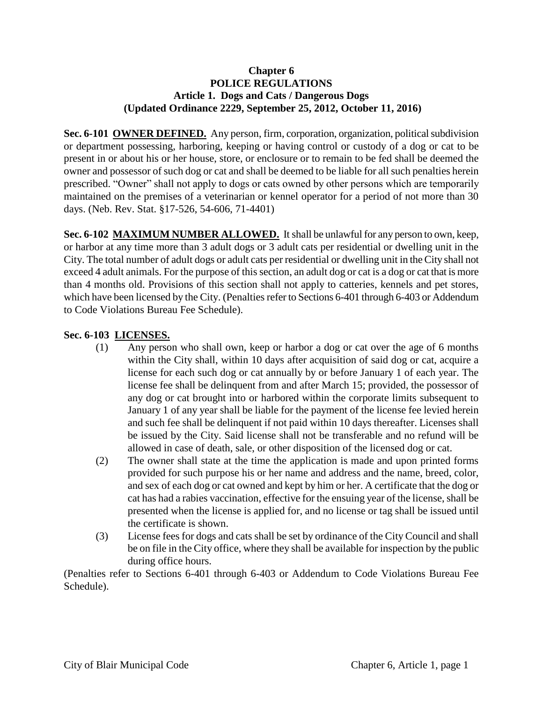#### **Chapter 6 POLICE REGULATIONS Article 1. Dogs and Cats / Dangerous Dogs (Updated Ordinance 2229, September 25, 2012, October 11, 2016)**

**Sec. 6-101 OWNER DEFINED.** Any person, firm, corporation, organization, political subdivision or department possessing, harboring, keeping or having control or custody of a dog or cat to be present in or about his or her house, store, or enclosure or to remain to be fed shall be deemed the owner and possessor of such dog or cat and shall be deemed to be liable for all such penalties herein prescribed. "Owner" shall not apply to dogs or cats owned by other persons which are temporarily maintained on the premises of a veterinarian or kennel operator for a period of not more than 30 days. (Neb. Rev. Stat. §17-526, 54-606, 71-4401)

**Sec. 6-102 MAXIMUM NUMBER ALLOWED.** It shall be unlawful for any person to own, keep, or harbor at any time more than 3 adult dogs or 3 adult cats per residential or dwelling unit in the City. The total number of adult dogs or adult cats per residential or dwelling unit in the City shall not exceed 4 adult animals. For the purpose of this section, an adult dog or cat is a dog or cat that is more than 4 months old. Provisions of this section shall not apply to catteries, kennels and pet stores, which have been licensed by the City. (Penalties refer to Sections 6-401 through 6-403 or Addendum to Code Violations Bureau Fee Schedule).

#### **Sec. 6-103 LICENSES.**

- (1) Any person who shall own, keep or harbor a dog or cat over the age of 6 months within the City shall, within 10 days after acquisition of said dog or cat, acquire a license for each such dog or cat annually by or before January 1 of each year. The license fee shall be delinquent from and after March 15; provided, the possessor of any dog or cat brought into or harbored within the corporate limits subsequent to January 1 of any year shall be liable for the payment of the license fee levied herein and such fee shall be delinquent if not paid within 10 days thereafter. Licenses shall be issued by the City. Said license shall not be transferable and no refund will be allowed in case of death, sale, or other disposition of the licensed dog or cat.
- (2) The owner shall state at the time the application is made and upon printed forms provided for such purpose his or her name and address and the name, breed, color, and sex of each dog or cat owned and kept by him or her. A certificate that the dog or cat has had a rabies vaccination, effective for the ensuing year of the license, shall be presented when the license is applied for, and no license or tag shall be issued until the certificate is shown.
- (3) License fees for dogs and cats shall be set by ordinance of the City Council and shall be on file in the City office, where they shall be available for inspection by the public during office hours.

(Penalties refer to Sections 6-401 through 6-403 or Addendum to Code Violations Bureau Fee Schedule).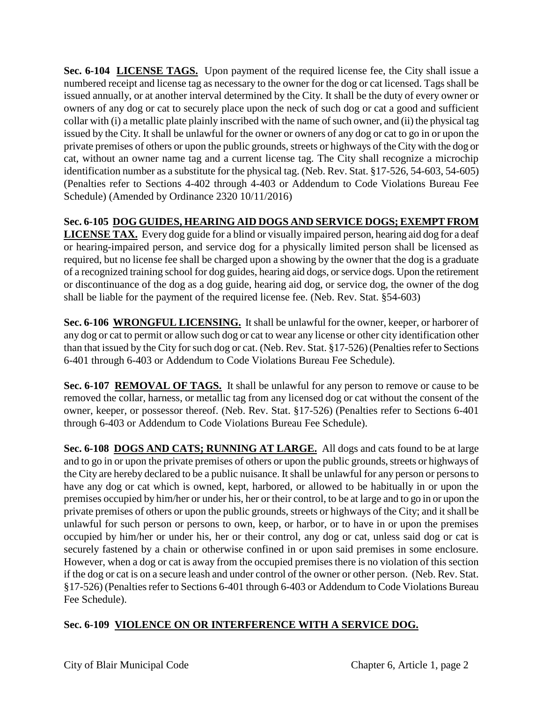**Sec. 6-104 LICENSE TAGS.** Upon payment of the required license fee, the City shall issue a numbered receipt and license tag as necessary to the owner for the dog or cat licensed. Tags shall be issued annually, or at another interval determined by the City. It shall be the duty of every owner or owners of any dog or cat to securely place upon the neck of such dog or cat a good and sufficient collar with (i) a metallic plate plainly inscribed with the name of such owner, and (ii) the physical tag issued by the City. It shall be unlawful for the owner or owners of any dog or cat to go in or upon the private premises of others or upon the public grounds, streets or highways of the City with the dog or cat, without an owner name tag and a current license tag. The City shall recognize a microchip identification number as a substitute for the physical tag. (Neb. Rev. Stat. §17-526, 54-603, 54-605) (Penalties refer to Sections 4-402 through 4-403 or Addendum to Code Violations Bureau Fee Schedule) (Amended by Ordinance 2320 10/11/2016)

# **Sec. 6-105 DOG GUIDES, HEARING AID DOGS AND SERVICE DOGS; EXEMPT FROM**

**LICENSE TAX.** Every dog guide for a blind or visually impaired person, hearing aid dog for a deaf or hearing-impaired person, and service dog for a physically limited person shall be licensed as required, but no license fee shall be charged upon a showing by the owner that the dog is a graduate of a recognized training school for dog guides, hearing aid dogs, or service dogs. Upon the retirement or discontinuance of the dog as a dog guide, hearing aid dog, or service dog, the owner of the dog shall be liable for the payment of the required license fee. (Neb. Rev. Stat. §54-603)

**Sec. 6-106 WRONGFUL LICENSING.** It shall be unlawful for the owner, keeper, or harborer of any dog or cat to permit or allow such dog or cat to wear any license or other city identification other than that issued by the City for such dog or cat. (Neb. Rev. Stat. §17-526) (Penalties refer to Sections 6-401 through 6-403 or Addendum to Code Violations Bureau Fee Schedule).

**Sec. 6-107 REMOVAL OF TAGS.** It shall be unlawful for any person to remove or cause to be removed the collar, harness, or metallic tag from any licensed dog or cat without the consent of the owner, keeper, or possessor thereof. (Neb. Rev. Stat. §17-526) (Penalties refer to Sections 6-401 through 6-403 or Addendum to Code Violations Bureau Fee Schedule).

**Sec. 6-108 DOGS AND CATS; RUNNING AT LARGE.** All dogs and cats found to be at large and to go in or upon the private premises of others or upon the public grounds, streets or highways of the City are hereby declared to be a public nuisance. It shall be unlawful for any person or persons to have any dog or cat which is owned, kept, harbored, or allowed to be habitually in or upon the premises occupied by him/her or under his, her or their control, to be at large and to go in or upon the private premises of others or upon the public grounds, streets or highways of the City; and it shall be unlawful for such person or persons to own, keep, or harbor, or to have in or upon the premises occupied by him/her or under his, her or their control, any dog or cat, unless said dog or cat is securely fastened by a chain or otherwise confined in or upon said premises in some enclosure. However, when a dog or cat is away from the occupied premises there is no violation of this section if the dog or cat is on a secure leash and under control of the owner or other person. (Neb. Rev. Stat. §17-526) (Penalties refer to Sections 6-401 through 6-403 or Addendum to Code Violations Bureau Fee Schedule).

# **Sec. 6-109 VIOLENCE ON OR INTERFERENCE WITH A SERVICE DOG.**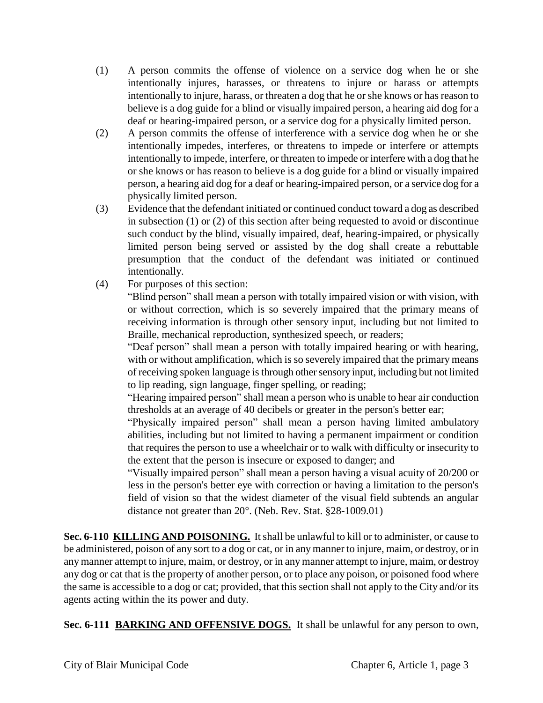- (1) A person commits the offense of violence on a service dog when he or she intentionally injures, harasses, or threatens to injure or harass or attempts intentionally to injure, harass, or threaten a dog that he or she knows or has reason to believe is a dog guide for a blind or visually impaired person, a hearing aid dog for a deaf or hearing-impaired person, or a service dog for a physically limited person.
- (2) A person commits the offense of interference with a service dog when he or she intentionally impedes, interferes, or threatens to impede or interfere or attempts intentionally to impede, interfere, or threaten to impede or interfere with a dog that he or she knows or has reason to believe is a dog guide for a blind or visually impaired person, a hearing aid dog for a deaf or hearing-impaired person, or a service dog for a physically limited person.
- (3) Evidence that the defendant initiated or continued conduct toward a dog as described in subsection (1) or (2) of this section after being requested to avoid or discontinue such conduct by the blind, visually impaired, deaf, hearing-impaired, or physically limited person being served or assisted by the dog shall create a rebuttable presumption that the conduct of the defendant was initiated or continued intentionally.
- (4) For purposes of this section:

"Blind person" shall mean a person with totally impaired vision or with vision, with or without correction, which is so severely impaired that the primary means of receiving information is through other sensory input, including but not limited to Braille, mechanical reproduction, synthesized speech, or readers;

"Deaf person" shall mean a person with totally impaired hearing or with hearing, with or without amplification, which is so severely impaired that the primary means of receiving spoken language is through other sensory input, including but not limited to lip reading, sign language, finger spelling, or reading;

"Hearing impaired person" shall mean a person who is unable to hear air conduction thresholds at an average of 40 decibels or greater in the person's better ear;

"Physically impaired person" shall mean a person having limited ambulatory abilities, including but not limited to having a permanent impairment or condition that requires the person to use a wheelchair or to walk with difficulty or insecurity to the extent that the person is insecure or exposed to danger; and

"Visually impaired person" shall mean a person having a visual acuity of 20/200 or less in the person's better eye with correction or having a limitation to the person's field of vision so that the widest diameter of the visual field subtends an angular distance not greater than 20°. (Neb. Rev. Stat. §28-1009.01)

**Sec. 6-110 KILLING AND POISONING.** It shall be unlawful to kill or to administer, or cause to be administered, poison of any sort to a dog or cat, or in any manner to injure, maim, or destroy, or in any manner attempt to injure, maim, or destroy, or in any manner attempt to injure, maim, or destroy any dog or cat that is the property of another person, or to place any poison, or poisoned food where the same is accessible to a dog or cat; provided, that this section shall not apply to the City and/or its agents acting within the its power and duty.

**Sec. 6-111 BARKING AND OFFENSIVE DOGS.** It shall be unlawful for any person to own,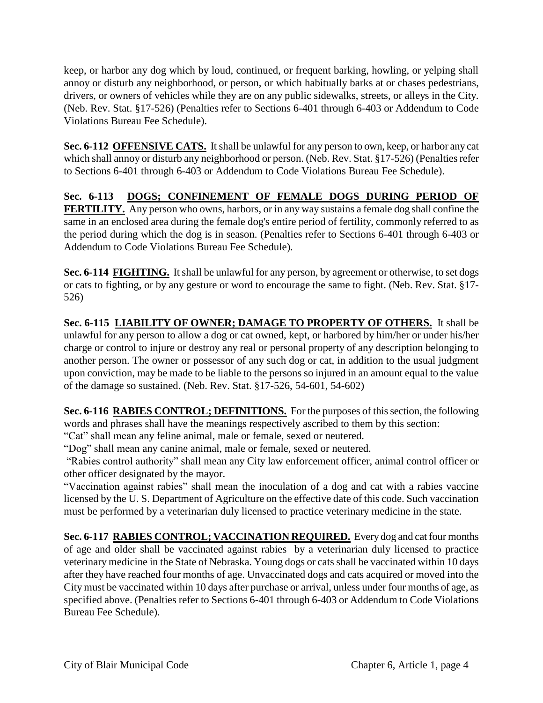keep, or harbor any dog which by loud, continued, or frequent barking, howling, or yelping shall annoy or disturb any neighborhood, or person, or which habitually barks at or chases pedestrians, drivers, or owners of vehicles while they are on any public sidewalks, streets, or alleys in the City. (Neb. Rev. Stat. §17-526) (Penalties refer to Sections 6-401 through 6-403 or Addendum to Code Violations Bureau Fee Schedule).

**Sec. 6-112 OFFENSIVE CATS.** It shall be unlawful for any person to own, keep, or harbor any cat which shall annoy or disturb any neighborhood or person. (Neb. Rev. Stat. §17-526) (Penalties refer to Sections 6-401 through 6-403 or Addendum to Code Violations Bureau Fee Schedule).

**Sec. 6-113 DOGS; CONFINEMENT OF FEMALE DOGS DURING PERIOD OF FERTILITY.** Any person who owns, harbors, or in any way sustains a female dog shall confine the same in an enclosed area during the female dog's entire period of fertility, commonly referred to as the period during which the dog is in season. (Penalties refer to Sections 6-401 through 6-403 or Addendum to Code Violations Bureau Fee Schedule).

**Sec. 6-114 FIGHTING.** It shall be unlawful for any person, by agreement or otherwise, to set dogs or cats to fighting, or by any gesture or word to encourage the same to fight. (Neb. Rev. Stat. §17- 526)

**Sec. 6-115 LIABILITY OF OWNER; DAMAGE TO PROPERTY OF OTHERS.** It shall be unlawful for any person to allow a dog or cat owned, kept, or harbored by him/her or under his/her charge or control to injure or destroy any real or personal property of any description belonging to another person. The owner or possessor of any such dog or cat, in addition to the usual judgment upon conviction, may be made to be liable to the persons so injured in an amount equal to the value of the damage so sustained. (Neb. Rev. Stat. §17-526, 54-601, 54-602)

**Sec. 6-116 RABIES CONTROL; DEFINITIONS.** For the purposes of this section, the following words and phrases shall have the meanings respectively ascribed to them by this section:

"Cat" shall mean any feline animal, male or female, sexed or neutered.

"Dog" shall mean any canine animal, male or female, sexed or neutered.

"Rabies control authority" shall mean any City law enforcement officer, animal control officer or other officer designated by the mayor.

"Vaccination against rabies" shall mean the inoculation of a dog and cat with a rabies vaccine licensed by the U. S. Department of Agriculture on the effective date of this code. Such vaccination must be performed by a veterinarian duly licensed to practice veterinary medicine in the state.

**Sec. 6-117 RABIES CONTROL; VACCINATION REQUIRED.** Every dog and cat four months of age and older shall be vaccinated against rabies by a veterinarian duly licensed to practice veterinary medicine in the State of Nebraska. Young dogs or cats shall be vaccinated within 10 days after they have reached four months of age. Unvaccinated dogs and cats acquired or moved into the City must be vaccinated within 10 days after purchase or arrival, unless under four months of age, as specified above. (Penalties refer to Sections 6-401 through 6-403 or Addendum to Code Violations Bureau Fee Schedule).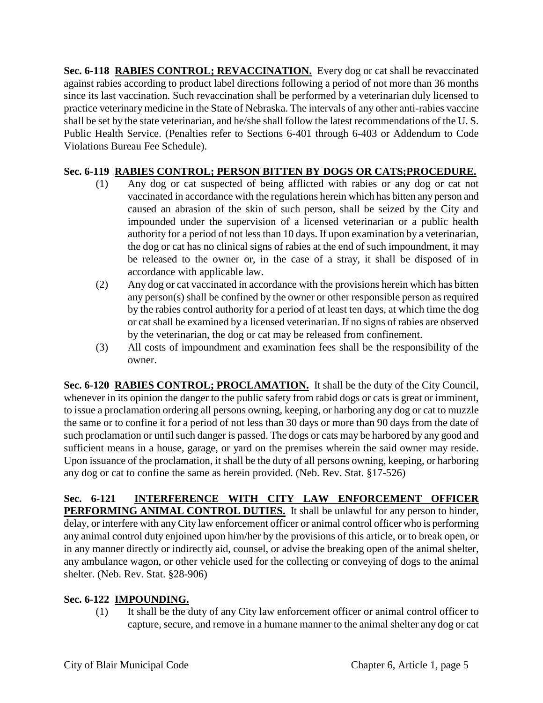**Sec. 6-118 RABIES CONTROL; REVACCINATION.** Every dog or cat shall be revaccinated against rabies according to product label directions following a period of not more than 36 months since its last vaccination. Such revaccination shall be performed by a veterinarian duly licensed to practice veterinary medicine in the State of Nebraska. The intervals of any other anti-rabies vaccine shall be set by the state veterinarian, and he/she shall follow the latest recommendations of the U. S. Public Health Service. (Penalties refer to Sections 6-401 through 6-403 or Addendum to Code Violations Bureau Fee Schedule).

# **Sec. 6-119 RABIES CONTROL; PERSON BITTEN BY DOGS OR CATS;PROCEDURE.**

- (1) Any dog or cat suspected of being afflicted with rabies or any dog or cat not vaccinated in accordance with the regulations herein which has bitten any person and caused an abrasion of the skin of such person, shall be seized by the City and impounded under the supervision of a licensed veterinarian or a public health authority for a period of not less than 10 days. If upon examination by a veterinarian, the dog or cat has no clinical signs of rabies at the end of such impoundment, it may be released to the owner or, in the case of a stray, it shall be disposed of in accordance with applicable law.
- (2) Any dog or cat vaccinated in accordance with the provisions herein which has bitten any person(s) shall be confined by the owner or other responsible person as required by the rabies control authority for a period of at least ten days, at which time the dog or cat shall be examined by a licensed veterinarian. If no signs of rabies are observed by the veterinarian, the dog or cat may be released from confinement.
- (3) All costs of impoundment and examination fees shall be the responsibility of the owner.

**Sec. 6-120 RABIES CONTROL; PROCLAMATION.** It shall be the duty of the City Council, whenever in its opinion the danger to the public safety from rabid dogs or cats is great or imminent, to issue a proclamation ordering all persons owning, keeping, or harboring any dog or cat to muzzle the same or to confine it for a period of not less than 30 days or more than 90 days from the date of such proclamation or until such danger is passed. The dogs or cats may be harbored by any good and sufficient means in a house, garage, or yard on the premises wherein the said owner may reside. Upon issuance of the proclamation, it shall be the duty of all persons owning, keeping, or harboring any dog or cat to confine the same as herein provided. (Neb. Rev. Stat. §17-526)

**Sec. 6-121 INTERFERENCE WITH CITY LAW ENFORCEMENT OFFICER PERFORMING ANIMAL CONTROL DUTIES.** It shall be unlawful for any person to hinder, delay, or interfere with any City law enforcement officer or animal control officer who is performing any animal control duty enjoined upon him/her by the provisions of this article, or to break open, or in any manner directly or indirectly aid, counsel, or advise the breaking open of the animal shelter, any ambulance wagon, or other vehicle used for the collecting or conveying of dogs to the animal shelter. (Neb. Rev. Stat. §28-906)

# **Sec. 6-122 IMPOUNDING.**

(1) It shall be the duty of any City law enforcement officer or animal control officer to capture, secure, and remove in a humane manner to the animal shelter any dog or cat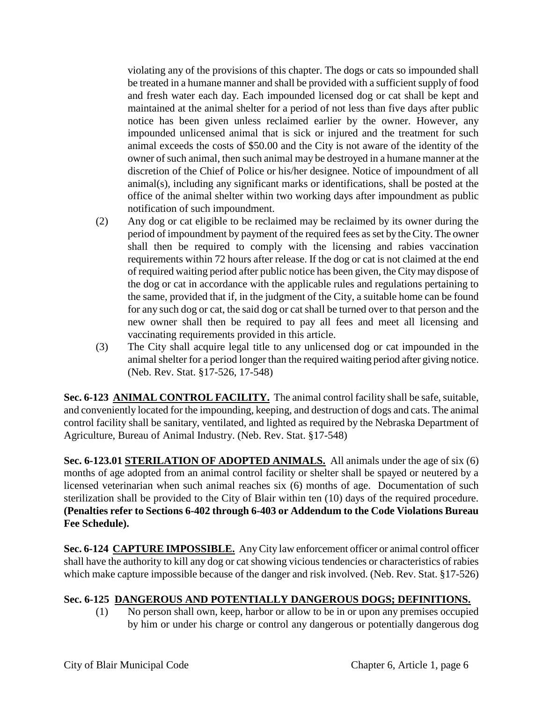violating any of the provisions of this chapter. The dogs or cats so impounded shall be treated in a humane manner and shall be provided with a sufficient supply of food and fresh water each day. Each impounded licensed dog or cat shall be kept and maintained at the animal shelter for a period of not less than five days after public notice has been given unless reclaimed earlier by the owner. However, any impounded unlicensed animal that is sick or injured and the treatment for such animal exceeds the costs of \$50.00 and the City is not aware of the identity of the owner of such animal, then such animal may be destroyed in a humane manner at the discretion of the Chief of Police or his/her designee. Notice of impoundment of all animal(s), including any significant marks or identifications, shall be posted at the office of the animal shelter within two working days after impoundment as public notification of such impoundment.

- (2) Any dog or cat eligible to be reclaimed may be reclaimed by its owner during the period of impoundment by payment of the required fees as set by the City. The owner shall then be required to comply with the licensing and rabies vaccination requirements within 72 hours after release. If the dog or cat is not claimed at the end of required waiting period after public notice has been given, the City may dispose of the dog or cat in accordance with the applicable rules and regulations pertaining to the same, provided that if, in the judgment of the City, a suitable home can be found for any such dog or cat, the said dog or cat shall be turned over to that person and the new owner shall then be required to pay all fees and meet all licensing and vaccinating requirements provided in this article.
- (3) The City shall acquire legal title to any unlicensed dog or cat impounded in the animal shelter for a period longer than the required waiting period after giving notice. (Neb. Rev. Stat. §17-526, 17-548)

**Sec. 6-123 ANIMAL CONTROL FACILITY.** The animal control facility shall be safe, suitable, and conveniently located for the impounding, keeping, and destruction of dogs and cats. The animal control facility shall be sanitary, ventilated, and lighted as required by the Nebraska Department of Agriculture, Bureau of Animal Industry. (Neb. Rev. Stat. §17-548)

**Sec. 6-123.01 STERILATION OF ADOPTED ANIMALS.** All animals under the age of six (6) months of age adopted from an animal control facility or shelter shall be spayed or neutered by a licensed veterinarian when such animal reaches six (6) months of age. Documentation of such sterilization shall be provided to the City of Blair within ten (10) days of the required procedure. **(Penalties refer to Sections 6-402 through 6-403 or Addendum to the Code Violations Bureau Fee Schedule).**

**Sec. 6-124 CAPTURE IMPOSSIBLE.** Any City law enforcement officer or animal control officer shall have the authority to kill any dog or cat showing vicious tendencies or characteristics of rabies which make capture impossible because of the danger and risk involved. (Neb. Rev. Stat. §17-526)

# **Sec. 6-125 DANGEROUS AND POTENTIALLY DANGEROUS DOGS; DEFINITIONS.**

(1) No person shall own, keep, harbor or allow to be in or upon any premises occupied by him or under his charge or control any dangerous or potentially dangerous dog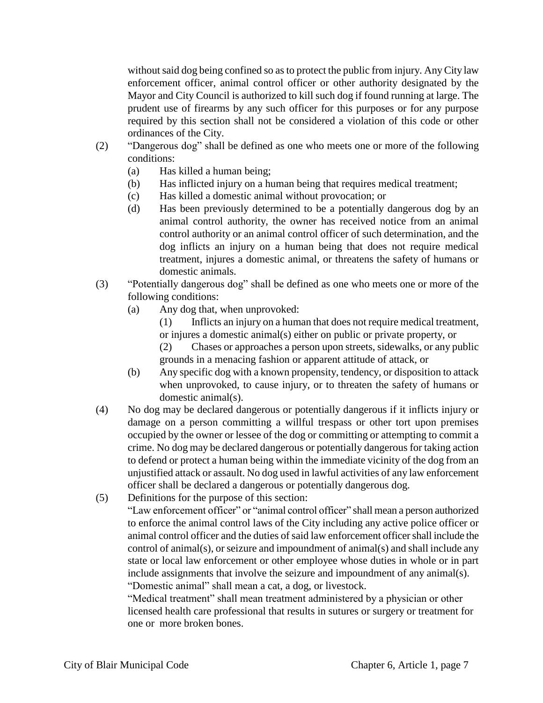without said dog being confined so as to protect the public from injury. Any City law enforcement officer, animal control officer or other authority designated by the Mayor and City Council is authorized to kill such dog if found running at large. The prudent use of firearms by any such officer for this purposes or for any purpose required by this section shall not be considered a violation of this code or other ordinances of the City.

- (2) "Dangerous dog" shall be defined as one who meets one or more of the following conditions:
	- (a) Has killed a human being;
	- (b) Has inflicted injury on a human being that requires medical treatment;
	- (c) Has killed a domestic animal without provocation; or
	- (d) Has been previously determined to be a potentially dangerous dog by an animal control authority, the owner has received notice from an animal control authority or an animal control officer of such determination, and the dog inflicts an injury on a human being that does not require medical treatment, injures a domestic animal, or threatens the safety of humans or domestic animals.
- (3) "Potentially dangerous dog" shall be defined as one who meets one or more of the following conditions:
	- (a) Any dog that, when unprovoked:
		- (1) Inflicts an injury on a human that does not require medical treatment, or injures a domestic animal(s) either on public or private property, or
		- (2) Chases or approaches a person upon streets, sidewalks, or any public grounds in a menacing fashion or apparent attitude of attack, or
	- (b) Any specific dog with a known propensity, tendency, or disposition to attack when unprovoked, to cause injury, or to threaten the safety of humans or domestic animal(s).
- (4) No dog may be declared dangerous or potentially dangerous if it inflicts injury or damage on a person committing a willful trespass or other tort upon premises occupied by the owner or lessee of the dog or committing or attempting to commit a crime. No dog may be declared dangerous or potentially dangerous for taking action to defend or protect a human being within the immediate vicinity of the dog from an unjustified attack or assault. No dog used in lawful activities of any law enforcement officer shall be declared a dangerous or potentially dangerous dog.
- (5) Definitions for the purpose of this section:

"Law enforcement officer" or "animal control officer" shall mean a person authorized to enforce the animal control laws of the City including any active police officer or animal control officer and the duties of said law enforcement officershall include the control of animal(s), or seizure and impoundment of animal(s) and shall include any state or local law enforcement or other employee whose duties in whole or in part include assignments that involve the seizure and impoundment of any animal(s). "Domestic animal" shall mean a cat, a dog, or livestock.

"Medical treatment" shall mean treatment administered by a physician or other licensed health care professional that results in sutures or surgery or treatment for one or more broken bones.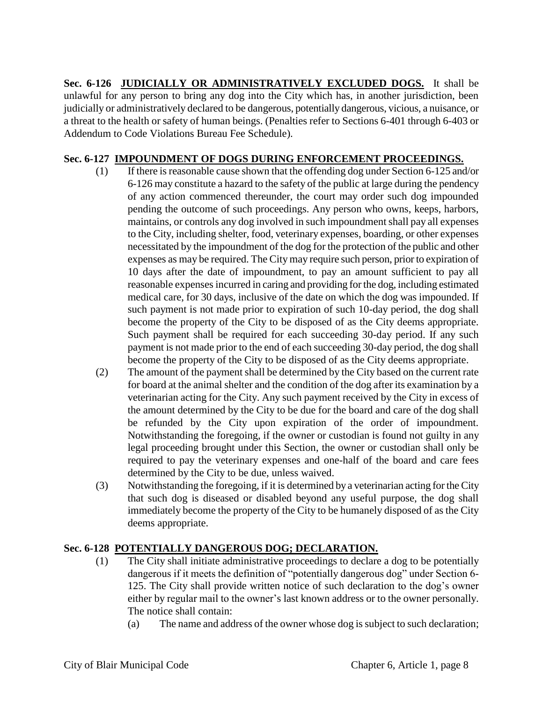**Sec. 6-126 JUDICIALLY OR ADMINISTRATIVELY EXCLUDED DOGS.** It shall be unlawful for any person to bring any dog into the City which has, in another jurisdiction, been judicially or administratively declared to be dangerous, potentially dangerous, vicious, a nuisance, or a threat to the health or safety of human beings. (Penalties refer to Sections 6-401 through 6-403 or Addendum to Code Violations Bureau Fee Schedule).

#### **Sec. 6-127 IMPOUNDMENT OF DOGS DURING ENFORCEMENT PROCEEDINGS.**

- (1) If there is reasonable cause shown that the offending dog under Section 6-125 and/or 6-126 may constitute a hazard to the safety of the public at large during the pendency of any action commenced thereunder, the court may order such dog impounded pending the outcome of such proceedings. Any person who owns, keeps, harbors, maintains, or controls any dog involved in such impoundment shall pay all expenses to the City, including shelter, food, veterinary expenses, boarding, or other expenses necessitated by the impoundment of the dog for the protection of the public and other expenses as may be required. The City may require such person, prior to expiration of 10 days after the date of impoundment, to pay an amount sufficient to pay all reasonable expenses incurred in caring and providing for the dog, including estimated medical care, for 30 days, inclusive of the date on which the dog was impounded. If such payment is not made prior to expiration of such 10-day period, the dog shall become the property of the City to be disposed of as the City deems appropriate. Such payment shall be required for each succeeding 30-day period. If any such payment is not made prior to the end of each succeeding 30-day period, the dog shall become the property of the City to be disposed of as the City deems appropriate.
- (2) The amount of the payment shall be determined by the City based on the current rate for board at the animal shelter and the condition of the dog after its examination by a veterinarian acting for the City. Any such payment received by the City in excess of the amount determined by the City to be due for the board and care of the dog shall be refunded by the City upon expiration of the order of impoundment. Notwithstanding the foregoing, if the owner or custodian is found not guilty in any legal proceeding brought under this Section, the owner or custodian shall only be required to pay the veterinary expenses and one-half of the board and care fees determined by the City to be due, unless waived.
- (3) Notwithstanding the foregoing, if it is determined by a veterinarian acting for the City that such dog is diseased or disabled beyond any useful purpose, the dog shall immediately become the property of the City to be humanely disposed of as the City deems appropriate.

# **Sec. 6-128 POTENTIALLY DANGEROUS DOG; DECLARATION.**

- (1) The City shall initiate administrative proceedings to declare a dog to be potentially dangerous if it meets the definition of "potentially dangerous dog" under Section 6- 125. The City shall provide written notice of such declaration to the dog's owner either by regular mail to the owner's last known address or to the owner personally. The notice shall contain:
	- (a) The name and address of the owner whose dog is subject to such declaration;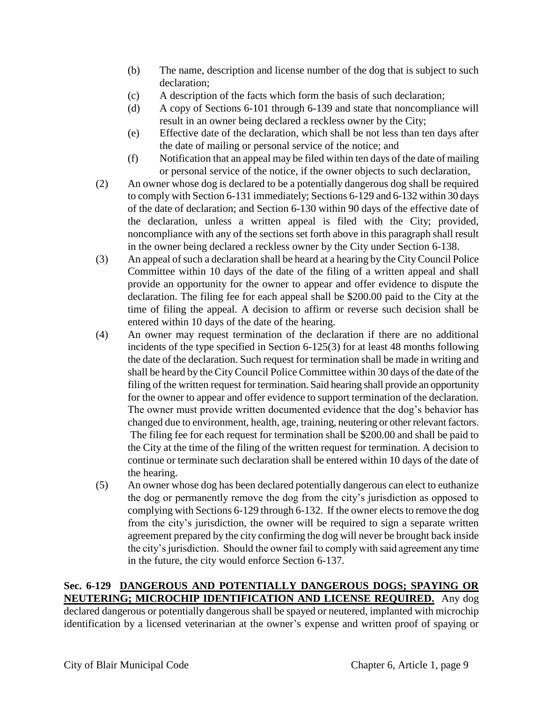- (b) The name, description and license number of the dog that is subject to such declaration;
- (c) A description of the facts which form the basis of such declaration;
- (d) A copy of Sections 6-101 through 6-139 and state that noncompliance will result in an owner being declared a reckless owner by the City;
- (e) Effective date of the declaration, which shall be not less than ten days after the date of mailing or personal service of the notice; and
- (f) Notification that an appeal may be filed within ten days of the date of mailing or personal service of the notice, if the owner objects to such declaration,
- (2) An owner whose dog is declared to be a potentially dangerous dog shall be required to comply with Section 6-131 immediately; Sections 6-129 and 6-132 within 30 days of the date of declaration; and Section 6-130 within 90 days of the effective date of the declaration, unless a written appeal is filed with the City; provided, noncompliance with any of the sections set forth above in this paragraph shall result in the owner being declared a reckless owner by the City under Section 6-138.
- (3) An appeal of such a declaration shall be heard at a hearing by the City Council Police Committee within 10 days of the date of the filing of a written appeal and shall provide an opportunity for the owner to appear and offer evidence to dispute the declaration. The filing fee for each appeal shall be \$200.00 paid to the City at the time of filing the appeal. A decision to affirm or reverse such decision shall be entered within 10 days of the date of the hearing.
- (4) An owner may request termination of the declaration if there are no additional incidents of the type specified in Section 6-125(3) for at least 48 months following the date of the declaration. Such request for termination shall be made in writing and shall be heard by the City Council Police Committee within 30 days of the date of the filing of the written request for termination. Said hearing shall provide an opportunity for the owner to appear and offer evidence to support termination of the declaration. The owner must provide written documented evidence that the dog's behavior has changed due to environment, health, age, training, neutering or other relevant factors. The filing fee for each request for termination shall be \$200.00 and shall be paid to the City at the time of the filing of the written request for termination. A decision to continue or terminate such declaration shall be entered within 10 days of the date of the hearing.
- (5) An owner whose dog has been declared potentially dangerous can elect to euthanize the dog or permanently remove the dog from the city's jurisdiction as opposed to complying with Sections 6-129 through 6-132. If the owner elects to remove the dog from the city's jurisdiction, the owner will be required to sign a separate written agreement prepared by the city confirming the dog will never be brought back inside the city's jurisdiction. Should the owner fail to comply with said agreement any time in the future, the city would enforce Section 6-137.

#### **Sec. 6-129 DANGEROUS AND POTENTIALLY DANGEROUS DOGS; SPAYING OR NEUTERING; MICROCHIP IDENTIFICATION AND LICENSE REQUIRED.** Any dog

declared dangerous or potentially dangerous shall be spayed or neutered, implanted with microchip identification by a licensed veterinarian at the owner's expense and written proof of spaying or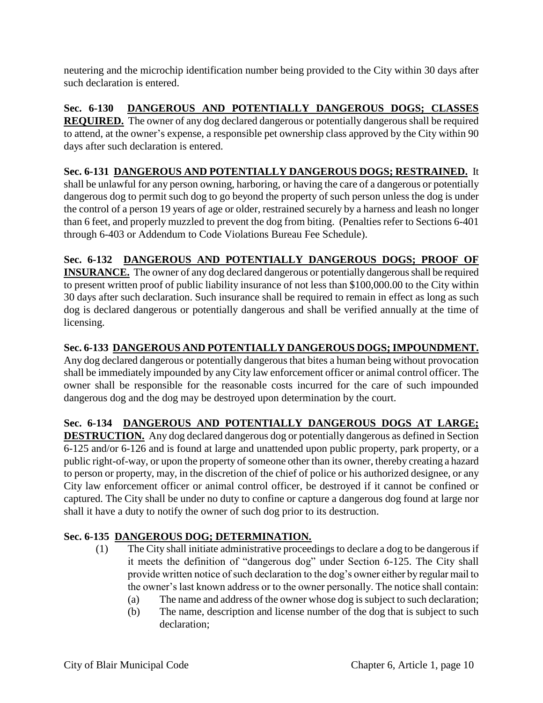neutering and the microchip identification number being provided to the City within 30 days after such declaration is entered.

**Sec. 6-130 DANGEROUS AND POTENTIALLY DANGEROUS DOGS; CLASSES REQUIRED.** The owner of any dog declared dangerous or potentially dangerous shall be required to attend, at the owner's expense, a responsible pet ownership class approved by the City within 90 days after such declaration is entered.

**Sec. 6-131 DANGEROUS AND POTENTIALLY DANGEROUS DOGS; RESTRAINED.** It shall be unlawful for any person owning, harboring, or having the care of a dangerous or potentially dangerous dog to permit such dog to go beyond the property of such person unless the dog is under the control of a person 19 years of age or older, restrained securely by a harness and leash no longer than 6 feet, and properly muzzled to prevent the dog from biting. (Penalties refer to Sections 6-401 through 6-403 or Addendum to Code Violations Bureau Fee Schedule).

# **Sec. 6-132 DANGEROUS AND POTENTIALLY DANGEROUS DOGS; PROOF OF**

**INSURANCE.** The owner of any dog declared dangerous or potentially dangerous shall be required to present written proof of public liability insurance of not less than \$100,000.00 to the City within 30 days after such declaration. Such insurance shall be required to remain in effect as long as such dog is declared dangerous or potentially dangerous and shall be verified annually at the time of licensing.

**Sec. 6-133 DANGEROUS AND POTENTIALLY DANGEROUS DOGS; IMPOUNDMENT.** 

Any dog declared dangerous or potentially dangerous that bites a human being without provocation shall be immediately impounded by any City law enforcement officer or animal control officer. The owner shall be responsible for the reasonable costs incurred for the care of such impounded dangerous dog and the dog may be destroyed upon determination by the court.

# **Sec. 6-134 DANGEROUS AND POTENTIALLY DANGEROUS DOGS AT LARGE;**

**DESTRUCTION.** Any dog declared dangerous dog or potentially dangerous as defined in Section 6-125 and/or 6-126 and is found at large and unattended upon public property, park property, or a public right-of-way, or upon the property of someone other than its owner, thereby creating a hazard to person or property, may, in the discretion of the chief of police or his authorized designee, or any City law enforcement officer or animal control officer, be destroyed if it cannot be confined or captured. The City shall be under no duty to confine or capture a dangerous dog found at large nor shall it have a duty to notify the owner of such dog prior to its destruction.

# **Sec. 6-135 DANGEROUS DOG; DETERMINATION.**

- (1) The City shall initiate administrative proceedings to declare a dog to be dangerous if it meets the definition of "dangerous dog" under Section 6-125. The City shall provide written notice of such declaration to the dog's owner either by regular mail to the owner's last known address or to the owner personally. The notice shall contain:
	- (a) The name and address of the owner whose dog is subject to such declaration;
	- (b) The name, description and license number of the dog that is subject to such declaration;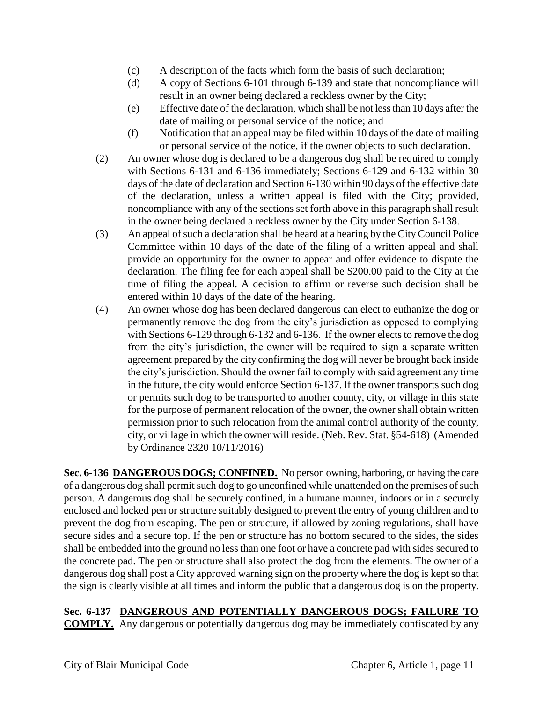- (c) A description of the facts which form the basis of such declaration;
- (d) A copy of Sections 6-101 through 6-139 and state that noncompliance will result in an owner being declared a reckless owner by the City;
- (e) Effective date of the declaration, which shall be not less than 10 days after the date of mailing or personal service of the notice; and
- (f) Notification that an appeal may be filed within 10 days of the date of mailing or personal service of the notice, if the owner objects to such declaration.
- (2) An owner whose dog is declared to be a dangerous dog shall be required to comply with Sections 6-131 and 6-136 immediately; Sections 6-129 and 6-132 within 30 days of the date of declaration and Section 6-130 within 90 days of the effective date of the declaration, unless a written appeal is filed with the City; provided, noncompliance with any of the sections set forth above in this paragraph shall result in the owner being declared a reckless owner by the City under Section 6-138.
- (3) An appeal of such a declaration shall be heard at a hearing by the City Council Police Committee within 10 days of the date of the filing of a written appeal and shall provide an opportunity for the owner to appear and offer evidence to dispute the declaration. The filing fee for each appeal shall be \$200.00 paid to the City at the time of filing the appeal. A decision to affirm or reverse such decision shall be entered within 10 days of the date of the hearing.
- (4) An owner whose dog has been declared dangerous can elect to euthanize the dog or permanently remove the dog from the city's jurisdiction as opposed to complying with Sections 6-129 through 6-132 and 6-136. If the owner elects to remove the dog from the city's jurisdiction, the owner will be required to sign a separate written agreement prepared by the city confirming the dog will never be brought back inside the city's jurisdiction. Should the owner fail to comply with said agreement any time in the future, the city would enforce Section 6-137. If the owner transports such dog or permits such dog to be transported to another county, city, or village in this state for the purpose of permanent relocation of the owner, the owner shall obtain written permission prior to such relocation from the animal control authority of the county, city, or village in which the owner will reside. (Neb. Rev. Stat. §54-618) (Amended by Ordinance 2320 10/11/2016)

**Sec. 6-136 DANGEROUS DOGS; CONFINED.** No person owning, harboring, or having the care of a dangerous dog shall permit such dog to go unconfined while unattended on the premises of such person. A dangerous dog shall be securely confined, in a humane manner, indoors or in a securely enclosed and locked pen or structure suitably designed to prevent the entry of young children and to prevent the dog from escaping. The pen or structure, if allowed by zoning regulations, shall have secure sides and a secure top. If the pen or structure has no bottom secured to the sides, the sides shall be embedded into the ground no less than one foot or have a concrete pad with sides secured to the concrete pad. The pen or structure shall also protect the dog from the elements. The owner of a dangerous dog shall post a City approved warning sign on the property where the dog is kept so that the sign is clearly visible at all times and inform the public that a dangerous dog is on the property.

#### **Sec. 6-137 DANGEROUS AND POTENTIALLY DANGEROUS DOGS; FAILURE TO COMPLY.** Any dangerous or potentially dangerous dog may be immediately confiscated by any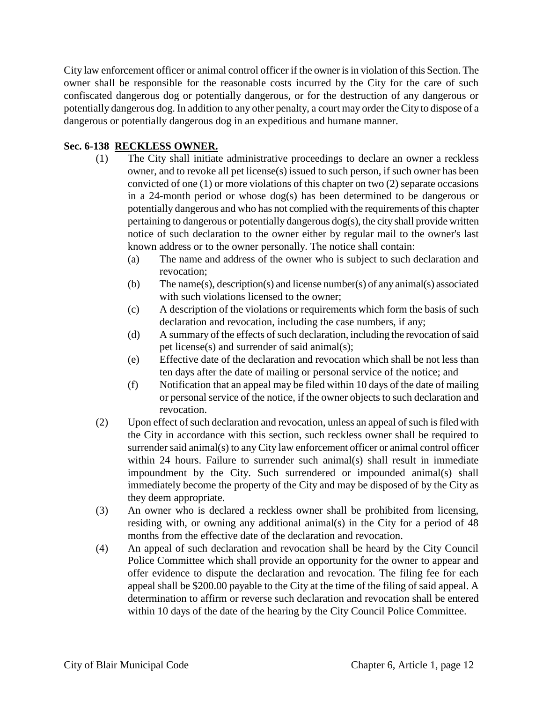City law enforcement officer or animal control officer if the owner is in violation of this Section. The owner shall be responsible for the reasonable costs incurred by the City for the care of such confiscated dangerous dog or potentially dangerous, or for the destruction of any dangerous or potentially dangerous dog. In addition to any other penalty, a court may order the City to dispose of a dangerous or potentially dangerous dog in an expeditious and humane manner.

#### **Sec. 6-138 RECKLESS OWNER.**

- (1) The City shall initiate administrative proceedings to declare an owner a reckless owner, and to revoke all pet license(s) issued to such person, if such owner has been convicted of one (1) or more violations of this chapter on two (2) separate occasions in a 24-month period or whose dog(s) has been determined to be dangerous or potentially dangerous and who has not complied with the requirements of this chapter pertaining to dangerous or potentially dangerous dog(s), the city shall provide written notice of such declaration to the owner either by regular mail to the owner's last known address or to the owner personally. The notice shall contain:
	- (a) The name and address of the owner who is subject to such declaration and revocation;
	- (b) The name(s), description(s) and license number(s) of any animal(s) associated with such violations licensed to the owner;
	- (c) A description of the violations or requirements which form the basis of such declaration and revocation, including the case numbers, if any;
	- (d) A summary of the effects of such declaration, including the revocation of said pet license(s) and surrender of said animal(s);
	- (e) Effective date of the declaration and revocation which shall be not less than ten days after the date of mailing or personal service of the notice; and
	- (f) Notification that an appeal may be filed within 10 days of the date of mailing or personal service of the notice, if the owner objects to such declaration and revocation.
- (2) Upon effect of such declaration and revocation, unless an appeal of such is filed with the City in accordance with this section, such reckless owner shall be required to surrender said animal(s) to any City law enforcement officer or animal control officer within 24 hours. Failure to surrender such animal(s) shall result in immediate impoundment by the City. Such surrendered or impounded animal(s) shall immediately become the property of the City and may be disposed of by the City as they deem appropriate.
- (3) An owner who is declared a reckless owner shall be prohibited from licensing, residing with, or owning any additional animal(s) in the City for a period of 48 months from the effective date of the declaration and revocation.
- (4) An appeal of such declaration and revocation shall be heard by the City Council Police Committee which shall provide an opportunity for the owner to appear and offer evidence to dispute the declaration and revocation. The filing fee for each appeal shall be \$200.00 payable to the City at the time of the filing of said appeal. A determination to affirm or reverse such declaration and revocation shall be entered within 10 days of the date of the hearing by the City Council Police Committee.